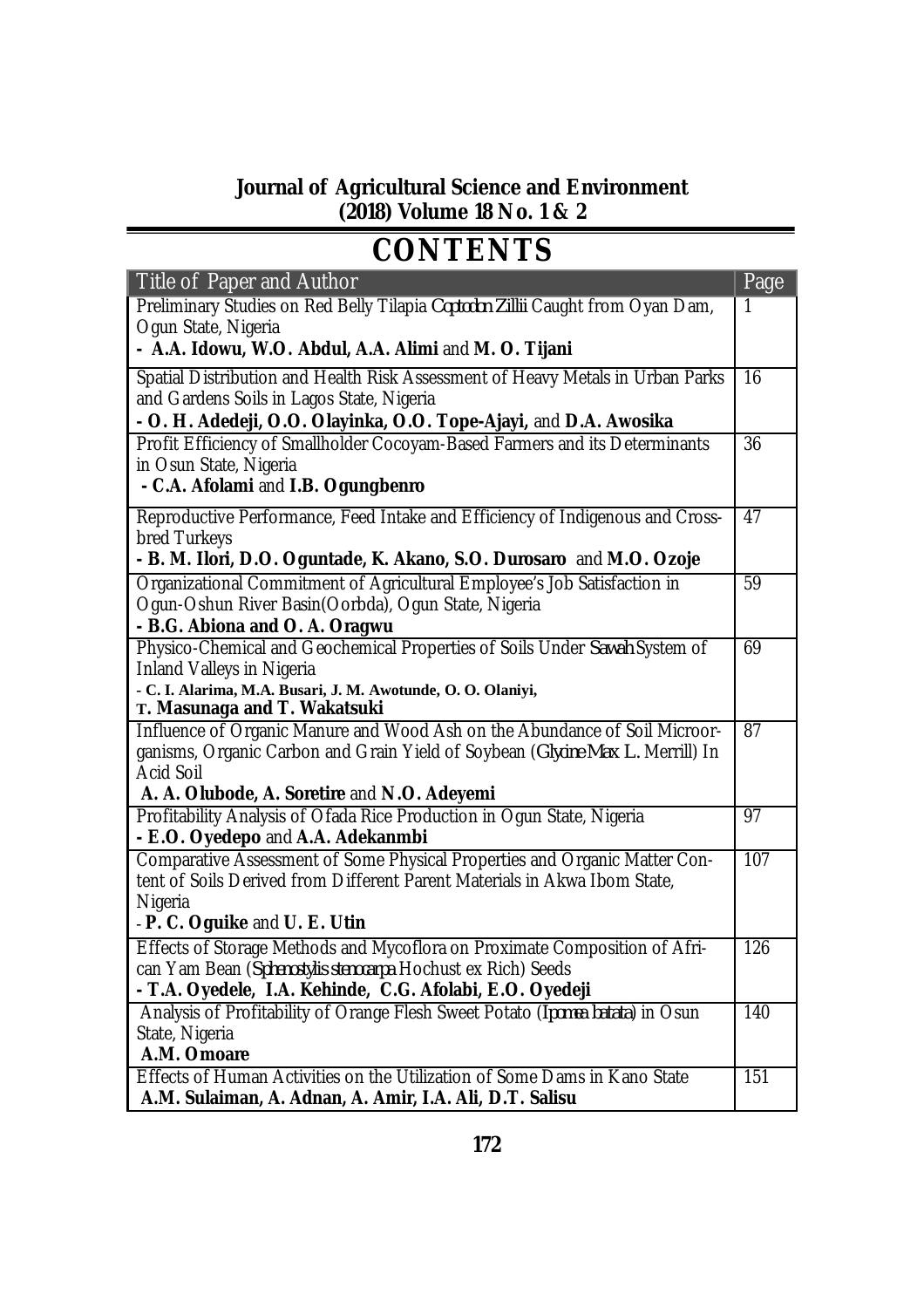## **Journal of Agricultural Science and Environment (2018) Volume 18 No. 1 & 2**

## **CONTENTS**

| Title of Paper and Author                                                                                   | Page            |
|-------------------------------------------------------------------------------------------------------------|-----------------|
| Preliminary Studies on Red Belly Tilapia Coptodon Zillii Caught from Oyan Dam,                              | 1               |
| Ogun State, Nigeria                                                                                         |                 |
| - A.A. Idowu, W.O. Abdul, A.A. Alimi and M. O. Tijani                                                       |                 |
| Spatial Distribution and Health Risk Assessment of Heavy Metals in Urban Parks                              | 16              |
| and Gardens Soils in Lagos State, Nigeria                                                                   |                 |
| - O. H. Adedeji, O.O. Olayinka, O.O. Tope-Ajayi, and D.A. Awosika                                           |                 |
| Profit Efficiency of Smallholder Cocoyam-Based Farmers and its Determinants                                 | 36              |
| in Osun State, Nigeria                                                                                      |                 |
| - C.A. Afolami and I.B. Ogungbenro                                                                          |                 |
| Reproductive Performance, Feed Intake and Efficiency of Indigenous and Cross-                               | 47              |
| bred Turkeys                                                                                                |                 |
| - B. M. Ilori, D.O. Oguntade, K. Akano, S.O. Durosaro and M.O. Ozoje                                        |                 |
| Organizational Commitment of Agricultural Employee's Job Satisfaction in                                    | 59              |
| Ogun-Oshun River Basin(Oorbda), Ogun State, Nigeria                                                         |                 |
| - B.G. Abiona and O. A. Oragwu                                                                              |                 |
| Physico-Chemical and Geochemical Properties of Soils Under Sawah System of                                  | 69              |
| <b>Inland Valleys in Nigeria</b>                                                                            |                 |
| - C. I. Alarima, M.A. Busari, J. M. Awotunde, O. O. Olaniyi,                                                |                 |
| T. Masunaga and T. Wakatsuki                                                                                |                 |
| Influence of Organic Manure and Wood Ash on the Abundance of Soil Microor-                                  | $\overline{87}$ |
| ganisms, Organic Carbon and Grain Yield of Soybean (Glycine Max L. Merrill) In                              |                 |
| <b>Acid Soil</b>                                                                                            |                 |
| A. A. Olubode, A. Soretire and N.O. Adeyemi                                                                 | 97              |
| Profitability Analysis of Ofada Rice Production in Ogun State, Nigeria<br>- E.O. Oyedepo and A.A. Adekanmbi |                 |
| Comparative Assessment of Some Physical Properties and Organic Matter Con-                                  | 107             |
| tent of Soils Derived from Different Parent Materials in Akwa Ibom State,                                   |                 |
| Nigeria                                                                                                     |                 |
| - P. C. Oguike and U. E. Utin                                                                               |                 |
| Effects of Storage Methods and Mycoflora on Proximate Composition of Afri-                                  | 126             |
| can Yam Bean (Sphenostylis stenocarpa Hochust ex Rich) Seeds                                                |                 |
| - T.A. Oyedele, I.A. Kehinde, C.G. Afolabi, E.O. Oyedeji                                                    |                 |
| Analysis of Profitability of Orange Flesh Sweet Potato (Ipomea batata) in Osun                              | 140             |
| State, Nigeria                                                                                              |                 |
| A.M. Omoare                                                                                                 |                 |
| Effects of Human Activities on the Utilization of Some Dams in Kano State                                   | 151             |
| A.M. Sulaiman, A. Adnan, A. Amir, I.A. Ali, D.T. Salisu                                                     |                 |